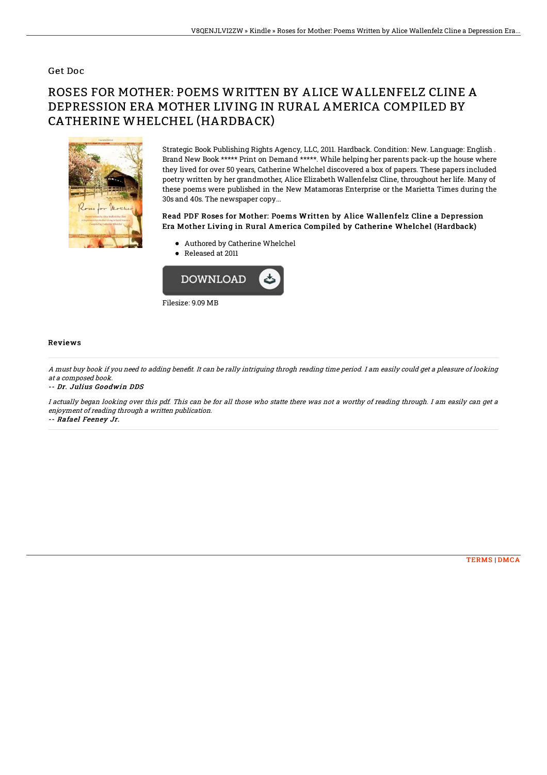#### Get Doc

# ROSES FOR MOTHER: POEMS WRITTEN BY ALICE WALLENFELZ CLINE A DEPRESSION ERA MOTHER LIVING IN RURAL AMERICA COMPILED BY CATHERINE WHELCHEL (HARDBACK)



Strategic Book Publishing Rights Agency, LLC, 2011. Hardback. Condition: New. Language: English . Brand New Book \*\*\*\*\* Print on Demand \*\*\*\*\*. While helping her parents pack-up the house where they lived for over 50 years, Catherine Whelchel discovered a box of papers. These papers included poetry written by her grandmother, Alice Elizabeth Wallenfelsz Cline, throughout her life. Many of these poems were published in the New Matamoras Enterprise or the Marietta Times during the 30s and 40s. The newspaper copy...

### Read PDF Roses for Mother: Poems Written by Alice Wallenfelz Cline a Depression Era Mother Living in Rural America Compiled by Catherine Whelchel (Hardback)

- Authored by Catherine Whelchel
- Released at 2011



#### Reviews

A must buy book if you need to adding benefit. It can be rally intriguing throgh reading time period. I am easily could get a pleasure of looking at <sup>a</sup> composed book.

-- Dr. Julius Goodwin DDS

I actually began looking over this pdf. This can be for all those who statte there was not <sup>a</sup> worthy of reading through. I am easily can get <sup>a</sup> enjoyment of reading through <sup>a</sup> written publication.

-- Rafael Feeney Jr.